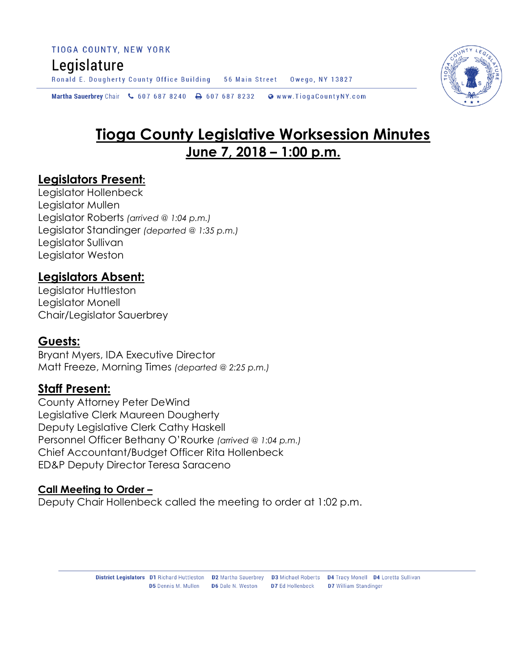Ronald E. Dougherty County Office Building 56 Main Street Owego, NY 13827

Martha Sauerbrey Chair & 607 687 8240 - 607 687 8232 Www.TiogaCountyNY.com

# **Tioga County Legislative Worksession Minutes June 7, 2018 – 1:00 p.m.**

## **Legislators Present:**

Legislator Hollenbeck Legislator Mullen Legislator Roberts *(arrived @ 1:04 p.m.)* Legislator Standinger *(departed @ 1:35 p.m.)* Legislator Sullivan Legislator Weston

## **Legislators Absent:**

Legislator Huttleston Legislator Monell Chair/Legislator Sauerbrey

#### **Guests:**

Bryant Myers, IDA Executive Director Matt Freeze, Morning Times *(departed @ 2:25 p.m.)*

## **Staff Present:**

County Attorney Peter DeWind Legislative Clerk Maureen Dougherty Deputy Legislative Clerk Cathy Haskell Personnel Officer Bethany O'Rourke *(arrived @ 1:04 p.m.)* Chief Accountant/Budget Officer Rita Hollenbeck ED&P Deputy Director Teresa Saraceno

#### **Call Meeting to Order –**

Deputy Chair Hollenbeck called the meeting to order at 1:02 p.m.

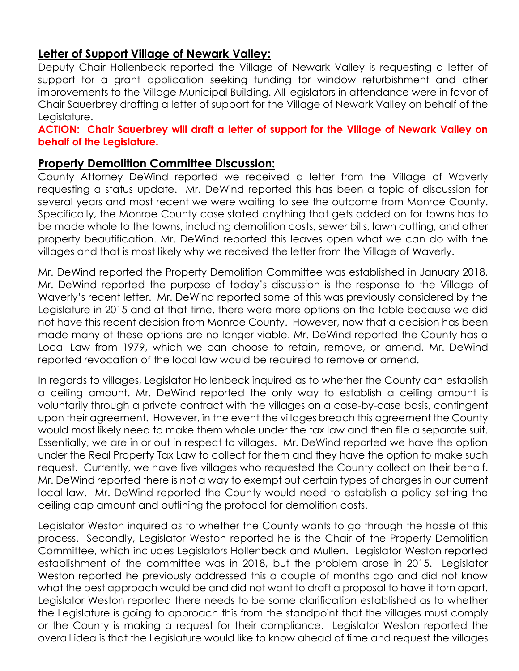#### **Letter of Support Village of Newark Valley:**

Deputy Chair Hollenbeck reported the Village of Newark Valley is requesting a letter of support for a grant application seeking funding for window refurbishment and other improvements to the Village Municipal Building. All legislators in attendance were in favor of Chair Sauerbrey drafting a letter of support for the Village of Newark Valley on behalf of the Leaislature.

**ACTION: Chair Sauerbrey will draft a letter of support for the Village of Newark Valley on behalf of the Legislature.** 

#### **Property Demolition Committee Discussion:**

County Attorney DeWind reported we received a letter from the Village of Waverly requesting a status update. Mr. DeWind reported this has been a topic of discussion for several years and most recent we were waiting to see the outcome from Monroe County. Specifically, the Monroe County case stated anything that gets added on for towns has to be made whole to the towns, including demolition costs, sewer bills, lawn cutting, and other property beautification. Mr. DeWind reported this leaves open what we can do with the villages and that is most likely why we received the letter from the Village of Waverly.

Mr. DeWind reported the Property Demolition Committee was established in January 2018. Mr. DeWind reported the purpose of today's discussion is the response to the Village of Waverly's recent letter. Mr. DeWind reported some of this was previously considered by the Legislature in 2015 and at that time, there were more options on the table because we did not have this recent decision from Monroe County. However, now that a decision has been made many of these options are no longer viable. Mr. DeWind reported the County has a Local Law from 1979, which we can choose to retain, remove, or amend. Mr. DeWind reported revocation of the local law would be required to remove or amend.

In regards to villages, Legislator Hollenbeck inquired as to whether the County can establish a ceiling amount. Mr. DeWind reported the only way to establish a ceiling amount is voluntarily through a private contract with the villages on a case-by-case basis, contingent upon their agreement. However, in the event the villages breach this agreement the County would most likely need to make them whole under the tax law and then file a separate suit. Essentially, we are in or out in respect to villages. Mr. DeWind reported we have the option under the Real Property Tax Law to collect for them and they have the option to make such request. Currently, we have five villages who requested the County collect on their behalf. Mr. DeWind reported there is not a way to exempt out certain types of charges in our current local law. Mr. DeWind reported the County would need to establish a policy setting the ceiling cap amount and outlining the protocol for demolition costs.

Legislator Weston inquired as to whether the County wants to go through the hassle of this process. Secondly, Legislator Weston reported he is the Chair of the Property Demolition Committee, which includes Legislators Hollenbeck and Mullen. Legislator Weston reported establishment of the committee was in 2018, but the problem arose in 2015. Legislator Weston reported he previously addressed this a couple of months ago and did not know what the best approach would be and did not want to draft a proposal to have it torn apart. Legislator Weston reported there needs to be some clarification established as to whether the Legislature is going to approach this from the standpoint that the villages must comply or the County is making a request for their compliance. Legislator Weston reported the overall idea is that the Legislature would like to know ahead of time and request the villages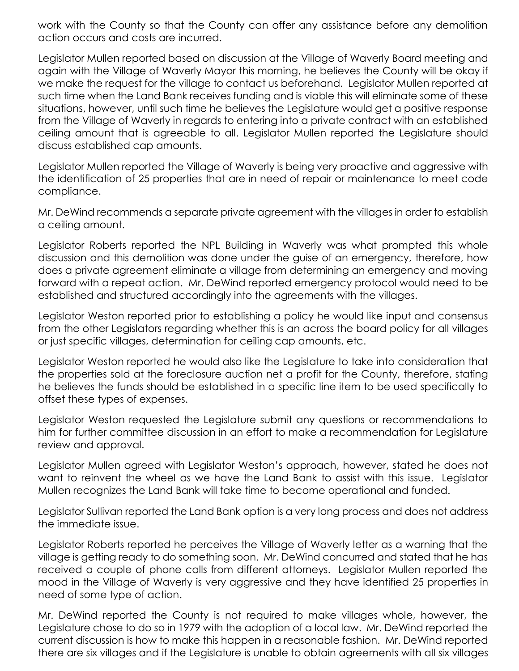work with the County so that the County can offer any assistance before any demolition action occurs and costs are incurred.

Legislator Mullen reported based on discussion at the Village of Waverly Board meeting and again with the Village of Waverly Mayor this morning, he believes the County will be okay if we make the request for the village to contact us beforehand. Legislator Mullen reported at such time when the Land Bank receives funding and is viable this will eliminate some of these situations, however, until such time he believes the Legislature would get a positive response from the Village of Waverly in regards to entering into a private contract with an established ceiling amount that is agreeable to all. Legislator Mullen reported the Legislature should discuss established cap amounts.

Legislator Mullen reported the Village of Waverly is being very proactive and aggressive with the identification of 25 properties that are in need of repair or maintenance to meet code compliance.

Mr. DeWind recommends a separate private agreement with the villages in order to establish a ceiling amount.

Legislator Roberts reported the NPL Building in Waverly was what prompted this whole discussion and this demolition was done under the guise of an emergency, therefore, how does a private agreement eliminate a village from determining an emergency and moving forward with a repeat action. Mr. DeWind reported emergency protocol would need to be established and structured accordingly into the agreements with the villages.

Legislator Weston reported prior to establishing a policy he would like input and consensus from the other Legislators regarding whether this is an across the board policy for all villages or just specific villages, determination for ceiling cap amounts, etc.

Legislator Weston reported he would also like the Legislature to take into consideration that the properties sold at the foreclosure auction net a profit for the County, therefore, stating he believes the funds should be established in a specific line item to be used specifically to offset these types of expenses.

Legislator Weston requested the Legislature submit any questions or recommendations to him for further committee discussion in an effort to make a recommendation for Legislature review and approval.

Legislator Mullen agreed with Legislator Weston's approach, however, stated he does not want to reinvent the wheel as we have the Land Bank to assist with this issue. Legislator Mullen recognizes the Land Bank will take time to become operational and funded.

Legislator Sullivan reported the Land Bank option is a very long process and does not address the immediate issue.

Legislator Roberts reported he perceives the Village of Waverly letter as a warning that the village is getting ready to do something soon. Mr. DeWind concurred and stated that he has received a couple of phone calls from different attorneys. Legislator Mullen reported the mood in the Village of Waverly is very aggressive and they have identified 25 properties in need of some type of action.

Mr. DeWind reported the County is not required to make villages whole, however, the Legislature chose to do so in 1979 with the adoption of a local law. Mr. DeWind reported the current discussion is how to make this happen in a reasonable fashion. Mr. DeWind reported there are six villages and if the Legislature is unable to obtain agreements with all six villages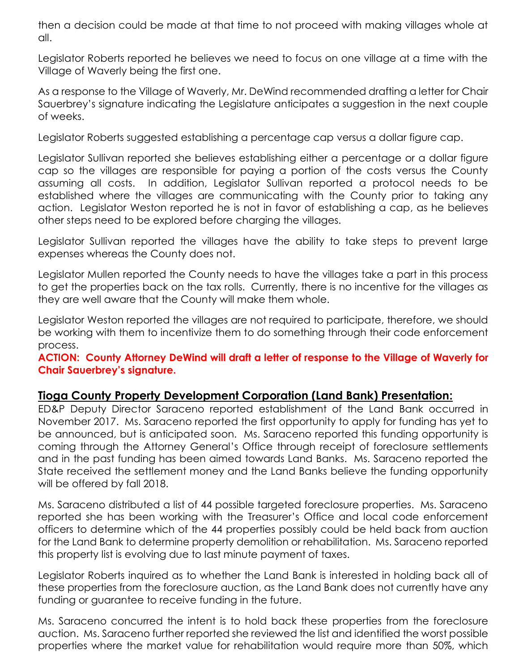then a decision could be made at that time to not proceed with making villages whole at all.

Legislator Roberts reported he believes we need to focus on one village at a time with the Village of Waverly being the first one.

As a response to the Village of Waverly, Mr. DeWind recommended drafting a letter for Chair Sauerbrey's signature indicating the Legislature anticipates a suggestion in the next couple of weeks.

Legislator Roberts suggested establishing a percentage cap versus a dollar figure cap.

Legislator Sullivan reported she believes establishing either a percentage or a dollar figure cap so the villages are responsible for paying a portion of the costs versus the County assuming all costs. In addition, Legislator Sullivan reported a protocol needs to be established where the villages are communicating with the County prior to taking any action. Legislator Weston reported he is not in favor of establishing a cap, as he believes other steps need to be explored before charging the villages.

Legislator Sullivan reported the villages have the ability to take steps to prevent large expenses whereas the County does not.

Legislator Mullen reported the County needs to have the villages take a part in this process to get the properties back on the tax rolls. Currently, there is no incentive for the villages as they are well aware that the County will make them whole.

Legislator Weston reported the villages are not required to participate, therefore, we should be working with them to incentivize them to do something through their code enforcement process.

**ACTION: County Attorney DeWind will draft a letter of response to the Village of Waverly for Chair Sauerbrey's signature.**

## **Tioga County Property Development Corporation (Land Bank) Presentation:**

ED&P Deputy Director Saraceno reported establishment of the Land Bank occurred in November 2017. Ms. Saraceno reported the first opportunity to apply for funding has yet to be announced, but is anticipated soon. Ms. Saraceno reported this funding opportunity is coming through the Attorney General's Office through receipt of foreclosure settlements and in the past funding has been aimed towards Land Banks. Ms. Saraceno reported the State received the settlement money and the Land Banks believe the funding opportunity will be offered by fall 2018.

Ms. Saraceno distributed a list of 44 possible targeted foreclosure properties. Ms. Saraceno reported she has been working with the Treasurer's Office and local code enforcement officers to determine which of the 44 properties possibly could be held back from auction for the Land Bank to determine property demolition or rehabilitation. Ms. Saraceno reported this property list is evolving due to last minute payment of taxes.

Legislator Roberts inquired as to whether the Land Bank is interested in holding back all of these properties from the foreclosure auction, as the Land Bank does not currently have any funding or guarantee to receive funding in the future.

Ms. Saraceno concurred the intent is to hold back these properties from the foreclosure auction. Ms. Saraceno further reported she reviewed the list and identified the worst possible properties where the market value for rehabilitation would require more than 50%, which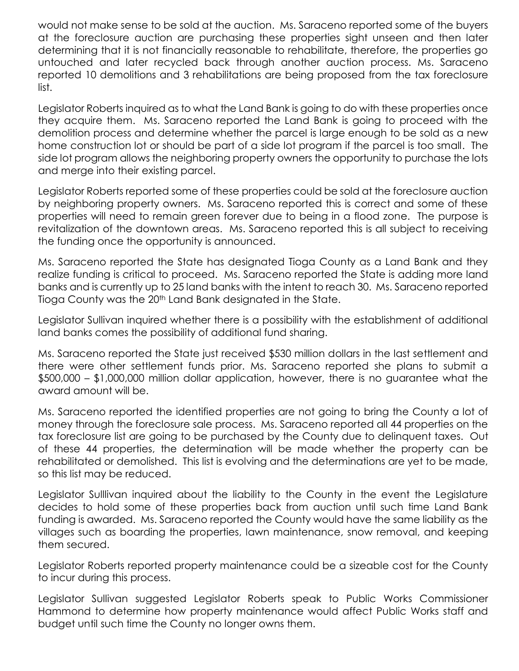would not make sense to be sold at the auction. Ms. Saraceno reported some of the buyers at the foreclosure auction are purchasing these properties sight unseen and then later determining that it is not financially reasonable to rehabilitate, therefore, the properties go untouched and later recycled back through another auction process. Ms. Saraceno reported 10 demolitions and 3 rehabilitations are being proposed from the tax foreclosure list.

Legislator Roberts inquired as to what the Land Bank is going to do with these properties once they acquire them. Ms. Saraceno reported the Land Bank is going to proceed with the demolition process and determine whether the parcel is large enough to be sold as a new home construction lot or should be part of a side lot program if the parcel is too small. The side lot program allows the neighboring property owners the opportunity to purchase the lots and merge into their existing parcel.

Legislator Roberts reported some of these properties could be sold at the foreclosure auction by neighboring property owners. Ms. Saraceno reported this is correct and some of these properties will need to remain green forever due to being in a flood zone. The purpose is revitalization of the downtown areas. Ms. Saraceno reported this is all subject to receiving the funding once the opportunity is announced.

Ms. Saraceno reported the State has designated Tioga County as a Land Bank and they realize funding is critical to proceed. Ms. Saraceno reported the State is adding more land banks and is currently up to 25 land banks with the intent to reach 30. Ms. Saraceno reported Tioga County was the 20<sup>th</sup> Land Bank designated in the State.

Legislator Sullivan inquired whether there is a possibility with the establishment of additional land banks comes the possibility of additional fund sharing.

Ms. Saraceno reported the State just received \$530 million dollars in the last settlement and there were other settlement funds prior. Ms. Saraceno reported she plans to submit a \$500,000 – \$1,000,000 million dollar application, however, there is no guarantee what the award amount will be.

Ms. Saraceno reported the identified properties are not going to bring the County a lot of money through the foreclosure sale process. Ms. Saraceno reported all 44 properties on the tax foreclosure list are going to be purchased by the County due to delinquent taxes. Out of these 44 properties, the determination will be made whether the property can be rehabilitated or demolished. This list is evolving and the determinations are yet to be made, so this list may be reduced.

Legislator Sulllivan inquired about the liability to the County in the event the Legislature decides to hold some of these properties back from auction until such time Land Bank funding is awarded. Ms. Saraceno reported the County would have the same liability as the villages such as boarding the properties, lawn maintenance, snow removal, and keeping them secured.

Legislator Roberts reported property maintenance could be a sizeable cost for the County to incur during this process.

Legislator Sullivan suggested Legislator Roberts speak to Public Works Commissioner Hammond to determine how property maintenance would affect Public Works staff and budget until such time the County no longer owns them.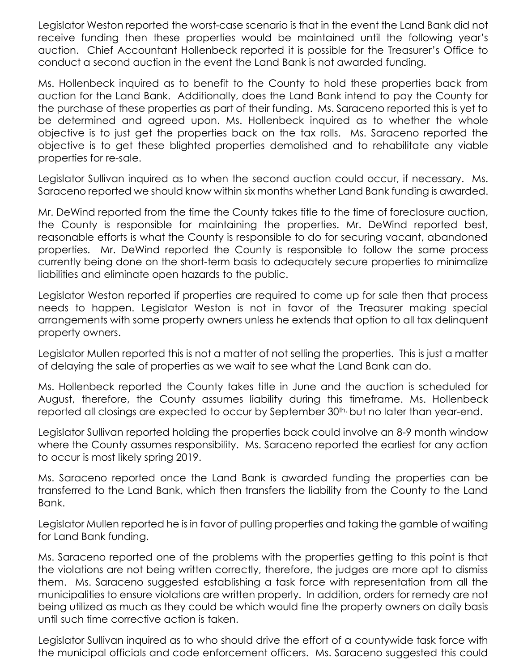Legislator Weston reported the worst-case scenario is that in the event the Land Bank did not receive funding then these properties would be maintained until the following year's auction. Chief Accountant Hollenbeck reported it is possible for the Treasurer's Office to conduct a second auction in the event the Land Bank is not awarded funding.

Ms. Hollenbeck inquired as to benefit to the County to hold these properties back from auction for the Land Bank. Additionally, does the Land Bank intend to pay the County for the purchase of these properties as part of their funding. Ms. Saraceno reported this is yet to be determined and agreed upon. Ms. Hollenbeck inquired as to whether the whole objective is to just get the properties back on the tax rolls. Ms. Saraceno reported the objective is to get these blighted properties demolished and to rehabilitate any viable properties for re-sale.

Legislator Sullivan inquired as to when the second auction could occur, if necessary. Ms. Saraceno reported we should know within six months whether Land Bank funding is awarded.

Mr. DeWind reported from the time the County takes title to the time of foreclosure auction, the County is responsible for maintaining the properties. Mr. DeWind reported best, reasonable efforts is what the County is responsible to do for securing vacant, abandoned properties. Mr. DeWind reported the County is responsible to follow the same process currently being done on the short-term basis to adequately secure properties to minimalize liabilities and eliminate open hazards to the public.

Legislator Weston reported if properties are required to come up for sale then that process needs to happen. Legislator Weston is not in favor of the Treasurer making special arrangements with some property owners unless he extends that option to all tax delinquent property owners.

Legislator Mullen reported this is not a matter of not selling the properties. This is just a matter of delaying the sale of properties as we wait to see what the Land Bank can do.

Ms. Hollenbeck reported the County takes title in June and the auction is scheduled for August, therefore, the County assumes liability during this timeframe. Ms. Hollenbeck reported all closings are expected to occur by September 30<sup>th,</sup> but no later than year-end.

Legislator Sullivan reported holding the properties back could involve an 8-9 month window where the County assumes responsibility. Ms. Saraceno reported the earliest for any action to occur is most likely spring 2019.

Ms. Saraceno reported once the Land Bank is awarded funding the properties can be transferred to the Land Bank, which then transfers the liability from the County to the Land Bank.

Legislator Mullen reported he is in favor of pulling properties and taking the gamble of waiting for Land Bank funding.

Ms. Saraceno reported one of the problems with the properties getting to this point is that the violations are not being written correctly, therefore, the judges are more apt to dismiss them. Ms. Saraceno suggested establishing a task force with representation from all the municipalities to ensure violations are written properly. In addition, orders for remedy are not being utilized as much as they could be which would fine the property owners on daily basis until such time corrective action is taken.

Legislator Sullivan inquired as to who should drive the effort of a countywide task force with the municipal officials and code enforcement officers. Ms. Saraceno suggested this could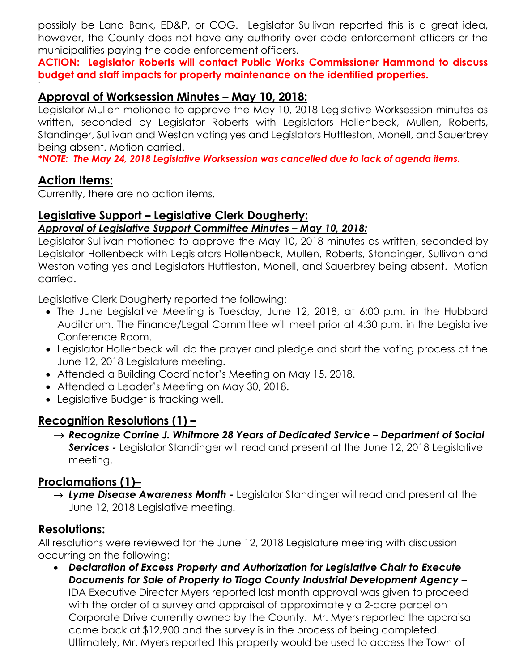possibly be Land Bank, ED&P, or COG. Legislator Sullivan reported this is a great idea, however, the County does not have any authority over code enforcement officers or the municipalities paying the code enforcement officers.

**ACTION: Legislator Roberts will contact Public Works Commissioner Hammond to discuss budget and staff impacts for property maintenance on the identified properties.** 

## **Approval of Worksession Minutes – May 10, 2018:**

Legislator Mullen motioned to approve the May 10, 2018 Legislative Worksession minutes as written, seconded by Legislator Roberts with Legislators Hollenbeck, Mullen, Roberts, Standinger, Sullivan and Weston voting yes and Legislators Huttleston, Monell, and Sauerbrey being absent. Motion carried.

*\*NOTE: The May 24, 2018 Legislative Worksession was cancelled due to lack of agenda items.* 

## **Action Items:**

`

Currently, there are no action items.

## **Legislative Support – Legislative Clerk Dougherty:**

#### *Approval of Legislative Support Committee Minutes – May 10, 2018:*

Legislator Sullivan motioned to approve the May 10, 2018 minutes as written, seconded by Legislator Hollenbeck with Legislators Hollenbeck, Mullen, Roberts, Standinger, Sullivan and Weston voting yes and Legislators Huttleston, Monell, and Sauerbrey being absent. Motion carried.

Legislative Clerk Dougherty reported the following:

- The June Legislative Meeting is Tuesday, June 12, 2018, at 6:00 p.m*.* in the Hubbard Auditorium. The Finance/Legal Committee will meet prior at 4:30 p.m. in the Legislative Conference Room.
- Legislator Hollenbeck will do the prayer and pledge and start the voting process at the June 12, 2018 Legislature meeting.
- Attended a Building Coordinator's Meeting on May 15, 2018.
- Attended a Leader's Meeting on May 30, 2018.
- Legislative Budget is tracking well.

## **Recognition Resolutions (1) –**

 *Recognize Corrine J. Whitmore 28 Years of Dedicated Service – Department of Social*  **Services** - Legislator Standinger will read and present at the June 12, 2018 Legislative meeting.

## **Proclamations (1)–**

 *Lyme Disease Awareness Month -* Legislator Standinger will read and present at the June 12, 2018 Legislative meeting.

## **Resolutions:**

All resolutions were reviewed for the June 12, 2018 Legislature meeting with discussion occurring on the following:

 *Declaration of Excess Property and Authorization for Legislative Chair to Execute Documents for Sale of Property to Tioga County Industrial Development Agency –* IDA Executive Director Myers reported last month approval was given to proceed with the order of a survey and appraisal of approximately a 2-acre parcel on Corporate Drive currently owned by the County. Mr. Myers reported the appraisal came back at \$12,900 and the survey is in the process of being completed. Ultimately, Mr. Myers reported this property would be used to access the Town of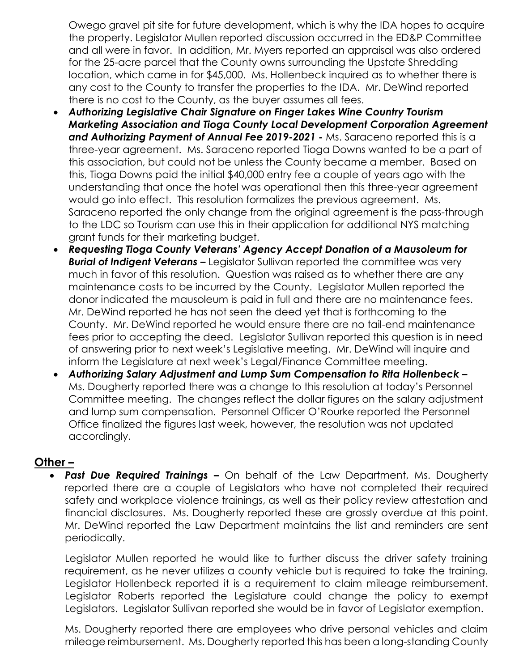Owego gravel pit site for future development, which is why the IDA hopes to acquire the property. Legislator Mullen reported discussion occurred in the ED&P Committee and all were in favor. In addition, Mr. Myers reported an appraisal was also ordered for the 25-acre parcel that the County owns surrounding the Upstate Shredding location, which came in for \$45,000. Ms. Hollenbeck inquired as to whether there is any cost to the County to transfer the properties to the IDA. Mr. DeWind reported there is no cost to the County, as the buyer assumes all fees.

- *Authorizing Legislative Chair Signature on Finger Lakes Wine Country Tourism Marketing Association and Tioga County Local Development Corporation Agreement and Authorizing Payment of Annual Fee 2019-2021 -* Ms. Saraceno reported this is a three-year agreement. Ms. Saraceno reported Tioga Downs wanted to be a part of this association, but could not be unless the County became a member. Based on this, Tioga Downs paid the initial \$40,000 entry fee a couple of years ago with the understanding that once the hotel was operational then this three-year agreement would go into effect. This resolution formalizes the previous agreement. Ms. Saraceno reported the only change from the original agreement is the pass-through to the LDC so Tourism can use this in their application for additional NYS matching grant funds for their marketing budget.
- *Requesting Tioga County Veterans' Agency Accept Donation of a Mausoleum for*  **Burial of Indigent Veterans –** Legislator Sullivan reported the committee was very much in favor of this resolution. Question was raised as to whether there are any maintenance costs to be incurred by the County. Legislator Mullen reported the donor indicated the mausoleum is paid in full and there are no maintenance fees. Mr. DeWind reported he has not seen the deed yet that is forthcoming to the County. Mr. DeWind reported he would ensure there are no tail-end maintenance fees prior to accepting the deed. Legislator Sullivan reported this question is in need of answering prior to next week's Legislative meeting. Mr. DeWind will inquire and inform the Legislature at next week's Legal/Finance Committee meeting.
- *Authorizing Salary Adjustment and Lump Sum Compensation to Rita Hollenbeck –* Ms. Dougherty reported there was a change to this resolution at today's Personnel Committee meeting. The changes reflect the dollar figures on the salary adjustment and lump sum compensation. Personnel Officer O'Rourke reported the Personnel Office finalized the figures last week, however, the resolution was not updated accordingly.

## **Other –**

 *Past Due Required Trainings –* On behalf of the Law Department, Ms. Dougherty reported there are a couple of Legislators who have not completed their required safety and workplace violence trainings, as well as their policy review attestation and financial disclosures. Ms. Dougherty reported these are grossly overdue at this point. Mr. DeWind reported the Law Department maintains the list and reminders are sent periodically.

Legislator Mullen reported he would like to further discuss the driver safety training requirement, as he never utilizes a county vehicle but is required to take the training. Legislator Hollenbeck reported it is a requirement to claim mileage reimbursement. Legislator Roberts reported the Legislature could change the policy to exempt Legislators. Legislator Sullivan reported she would be in favor of Legislator exemption.

Ms. Dougherty reported there are employees who drive personal vehicles and claim mileage reimbursement. Ms. Dougherty reported this has been a long-standing County